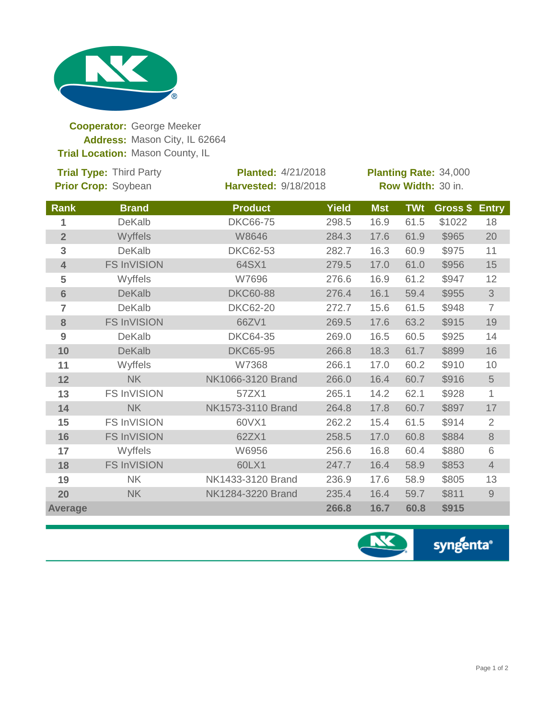

**Cooperator:** George Meeker Address: Mason City, IL 62664 **Trial Location: Mason County, IL** 

| <b>Trial Type: Third Party</b><br>Prior Crop: Soybean |                    | <b>Planted: 4/21/2018</b><br><b>Harvested: 9/18/2018</b> |              | Planting Rate: 34,000<br>Row Width: 30 in. |            |          |                                                                                                        |
|-------------------------------------------------------|--------------------|----------------------------------------------------------|--------------|--------------------------------------------|------------|----------|--------------------------------------------------------------------------------------------------------|
| Rank                                                  | <b>Brand</b>       | <b>Product</b>                                           | <b>Yield</b> | <b>Mst</b>                                 | <b>TWt</b> | Gross \$ | <b>Entry</b>                                                                                           |
| 1                                                     | <b>DeKalb</b>      | <b>DKC66-75</b>                                          | 298.5        | 16.9                                       | 61.5       | \$1022   | 18                                                                                                     |
| $\overline{2}$                                        | Wyffels            | W8646                                                    | 284.3        | 17.6                                       | 61.9       | \$965    | 20                                                                                                     |
| 3                                                     | <b>DeKalb</b>      | <b>DKC62-53</b>                                          | 282.7        | 16.3                                       | 60.9       | \$975    | 11                                                                                                     |
| $\overline{\mathbf{4}}$                               | <b>FS InVISION</b> | 64SX1                                                    | 279.5        | 17.0                                       | 61.0       | \$956    | 15                                                                                                     |
| 5                                                     | Wyffels            | W7696                                                    | 276.6        | 16.9                                       | 61.2       | \$947    | 12                                                                                                     |
| $6\phantom{1}$                                        | <b>DeKalb</b>      | <b>DKC60-88</b>                                          | 276.4        | 16.1                                       | 59.4       | \$955    | $\mathfrak{S}% _{A}^{\ast}=\mathfrak{S}_{A}\!\left( A;B\right) ,\ \mathfrak{S}_{A}\!\left( A;B\right)$ |
| 7                                                     | <b>DeKalb</b>      | <b>DKC62-20</b>                                          | 272.7        | 15.6                                       | 61.5       | \$948    | $\overline{7}$                                                                                         |
| 8                                                     | <b>FS InVISION</b> | 66ZV1                                                    | 269.5        | 17.6                                       | 63.2       | \$915    | 19                                                                                                     |
| 9                                                     | <b>DeKalb</b>      | <b>DKC64-35</b>                                          | 269.0        | 16.5                                       | 60.5       | \$925    | 14                                                                                                     |
| 10                                                    | <b>DeKalb</b>      | <b>DKC65-95</b>                                          | 266.8        | 18.3                                       | 61.7       | \$899    | 16                                                                                                     |
| 11                                                    | Wyffels            | W7368                                                    | 266.1        | 17.0                                       | 60.2       | \$910    | 10                                                                                                     |
| 12                                                    | <b>NK</b>          | NK1066-3120 Brand                                        | 266.0        | 16.4                                       | 60.7       | \$916    | $\sqrt{5}$                                                                                             |
| 13                                                    | <b>FS InVISION</b> | 57ZX1                                                    | 265.1        | 14.2                                       | 62.1       | \$928    | 1                                                                                                      |
| 14                                                    | <b>NK</b>          | NK1573-3110 Brand                                        | 264.8        | 17.8                                       | 60.7       | \$897    | 17                                                                                                     |
| 15                                                    | <b>FS InVISION</b> | 60VX1                                                    | 262.2        | 15.4                                       | 61.5       | \$914    | $\overline{2}$                                                                                         |
| 16                                                    | <b>FS InVISION</b> | 62ZX1                                                    | 258.5        | 17.0                                       | 60.8       | \$884    | $\,8\,$                                                                                                |
| 17                                                    | Wyffels            | W6956                                                    | 256.6        | 16.8                                       | 60.4       | \$880    | 6                                                                                                      |
| 18                                                    | <b>FS InVISION</b> | 60LX1                                                    | 247.7        | 16.4                                       | 58.9       | \$853    | $\overline{4}$                                                                                         |
| 19                                                    | <b>NK</b>          | NK1433-3120 Brand                                        | 236.9        | 17.6                                       | 58.9       | \$805    | 13                                                                                                     |
| 20                                                    | <b>NK</b>          | NK1284-3220 Brand                                        | 235.4        | 16.4                                       | 59.7       | \$811    | $\mathcal{G}% _{M_{1},M_{2}}^{\alpha,\beta}(\mathcal{A})$                                              |
| <b>Average</b>                                        |                    |                                                          | 266.8        | 16.7                                       | 60.8       | \$915    |                                                                                                        |